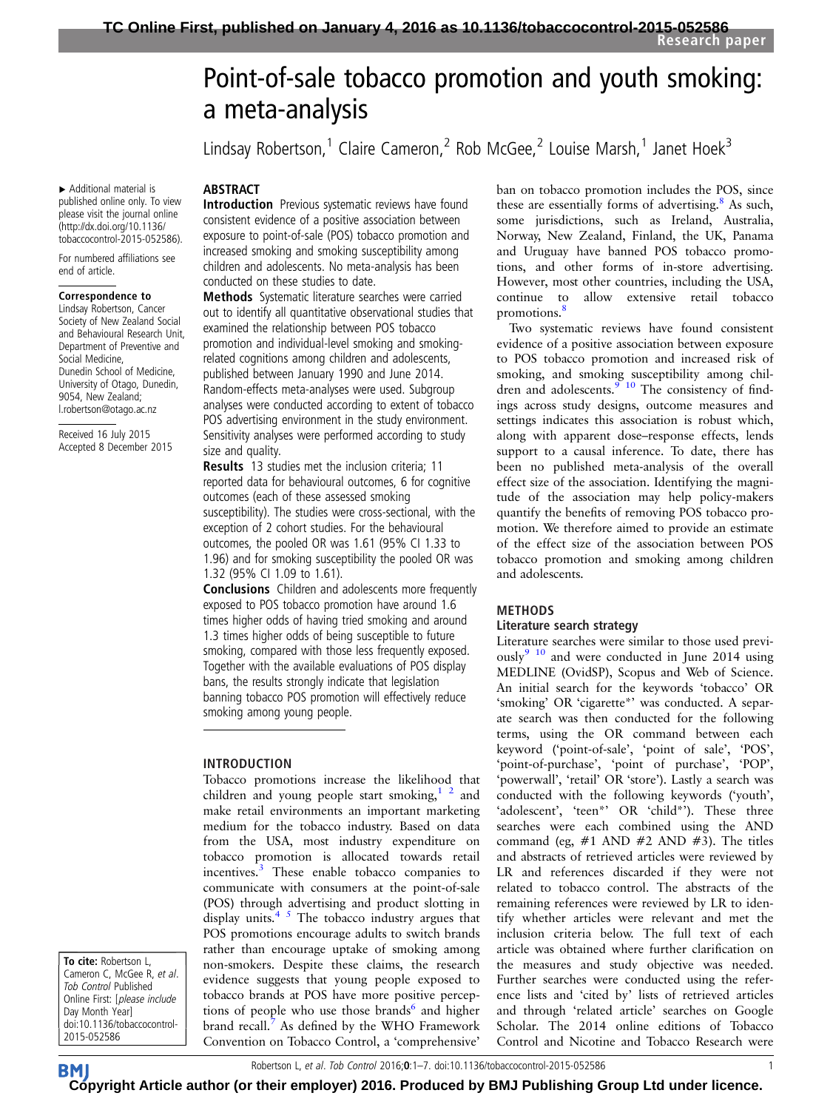# Point-of-sale tobacco promotion and youth smoking: a meta-analysis

Lindsay Robertson,<sup>1</sup> Claire Cameron,<sup>2</sup> Rob McGee,<sup>2</sup> Louise Marsh,<sup>1</sup> Janet Hoek<sup>3</sup>

#### ▸ Additional material is published online only. To view please visit the journal online [\(http://dx.doi.org/10.1136/](http://dx.doi.org/10.1136/tobaccocontrol-2015-052586) [tobaccocontrol-2015-052586\)](http://dx.doi.org/10.1136/tobaccocontrol-2015-052586).

For numbered affiliations see end of article.

# Correspondence to

Lindsay Robertson, Cancer Society of New Zealand Social and Behavioural Research Unit, Department of Preventive and Social Medicine, Dunedin School of Medicine, University of Otago, Dunedin, 9054, New Zealand; l.robertson@otago.ac.nz

Received 16 July 2015 Accepted 8 December 2015

# ABSTRACT

**Introduction** Previous systematic reviews have found consistent evidence of a positive association between exposure to point-of-sale (POS) tobacco promotion and increased smoking and smoking susceptibility among children and adolescents. No meta-analysis has been conducted on these studies to date.

Methods Systematic literature searches were carried out to identify all quantitative observational studies that examined the relationship between POS tobacco promotion and individual-level smoking and smokingrelated cognitions among children and adolescents, published between January 1990 and June 2014. Random-effects meta-analyses were used. Subgroup analyses were conducted according to extent of tobacco POS advertising environment in the study environment. Sensitivity analyses were performed according to study size and quality.

Results 13 studies met the inclusion criteria; 11 reported data for behavioural outcomes, 6 for cognitive outcomes (each of these assessed smoking susceptibility). The studies were cross-sectional, with the exception of 2 cohort studies. For the behavioural outcomes, the pooled OR was 1.61 (95% CI 1.33 to 1.96) and for smoking susceptibility the pooled OR was 1.32 (95% CI 1.09 to 1.61).

Conclusions Children and adolescents more frequently exposed to POS tobacco promotion have around 1.6 times higher odds of having tried smoking and around 1.3 times higher odds of being susceptible to future smoking, compared with those less frequently exposed. Together with the available evaluations of POS display bans, the results strongly indicate that legislation banning tobacco POS promotion will effectively reduce smoking among young people.

## INTRODUCTION

Tobacco promotions increase the likelihood that children and young people start smoking, $1^2$  and make retail environments an important marketing medium for the tobacco industry. Based on data from the USA, most industry expenditure on tobacco promotion is allocated towards retail incentives.[3](#page-6-0) These enable tobacco companies to communicate with consumers at the point-of-sale (POS) through advertising and product slotting in display units. $45$  The tobacco industry argues that POS promotions encourage adults to switch brands rather than encourage uptake of smoking among non-smokers. Despite these claims, the research evidence suggests that young people exposed to tobacco brands at POS have more positive percep-tions of people who use those brands<sup>[6](#page-6-0)</sup> and higher brand recall.<sup>[7](#page-6-0)</sup> As defined by the WHO Framework Convention on Tobacco Control, a 'comprehensive'

ban on tobacco promotion includes the POS, since these are essentially forms of advertising.<sup>[8](#page-6-0)</sup> As such, some jurisdictions, such as Ireland, Australia, Norway, New Zealand, Finland, the UK, Panama and Uruguay have banned POS tobacco promotions, and other forms of in-store advertising. However, most other countries, including the USA, continue to allow extensive retail tobacco promotions.<sup>[8](#page-6-0)</sup>

Two systematic reviews have found consistent evidence of a positive association between exposure to POS tobacco promotion and increased risk of smoking, and smoking susceptibility among children and adolescents. $9\overline{10}$  The consistency of findings across study designs, outcome measures and settings indicates this association is robust which, along with apparent dose–response effects, lends support to a causal inference. To date, there has been no published meta-analysis of the overall effect size of the association. Identifying the magnitude of the association may help policy-makers quantify the benefits of removing POS tobacco promotion. We therefore aimed to provide an estimate of the effect size of the association between POS tobacco promotion and smoking among children and adolescents.

# METHODS

## Literature search strategy

Literature searches were similar to those used previously<sup>9</sup> <sup>10</sup> and were conducted in June 2014 using MEDLINE (OvidSP), Scopus and Web of Science. An initial search for the keywords 'tobacco' OR 'smoking' OR 'cigarette\*' was conducted. A separate search was then conducted for the following terms, using the OR command between each keyword ('point-of-sale', 'point of sale', 'POS', 'point-of-purchase', 'point of purchase', 'POP', 'powerwall', 'retail' OR 'store'). Lastly a search was conducted with the following keywords ('youth', 'adolescent', 'teen\*' OR 'child\*'). These three searches were each combined using the AND command (eg,  $\#1$  AND  $\#2$  AND  $\#3$ ). The titles and abstracts of retrieved articles were reviewed by LR and references discarded if they were not related to tobacco control. The abstracts of the remaining references were reviewed by LR to identify whether articles were relevant and met the inclusion criteria below. The full text of each article was obtained where further clarification on the measures and study objective was needed. Further searches were conducted using the reference lists and 'cited by' lists of retrieved articles and through 'related article' searches on Google Scholar. The 2014 online editions of Tobacco Control and Nicotine and Tobacco Research were

To cite: Robertson L, Cameron C, McGee R, et al. Tob Control Published Online First: [please include Day Month Year] doi:10.1136/tobaccocontrol-2015-052586

Robertson L, et al. Tob Control 2016;0:1–7. doi:10.1136/tobaccocontrol-2015-052586 1

**BM [Cop](http://tobaccocontrol.bmj.com)yright Article author (or their employer) 2016. Produced by BMJ Publishing Group Ltd under licence.**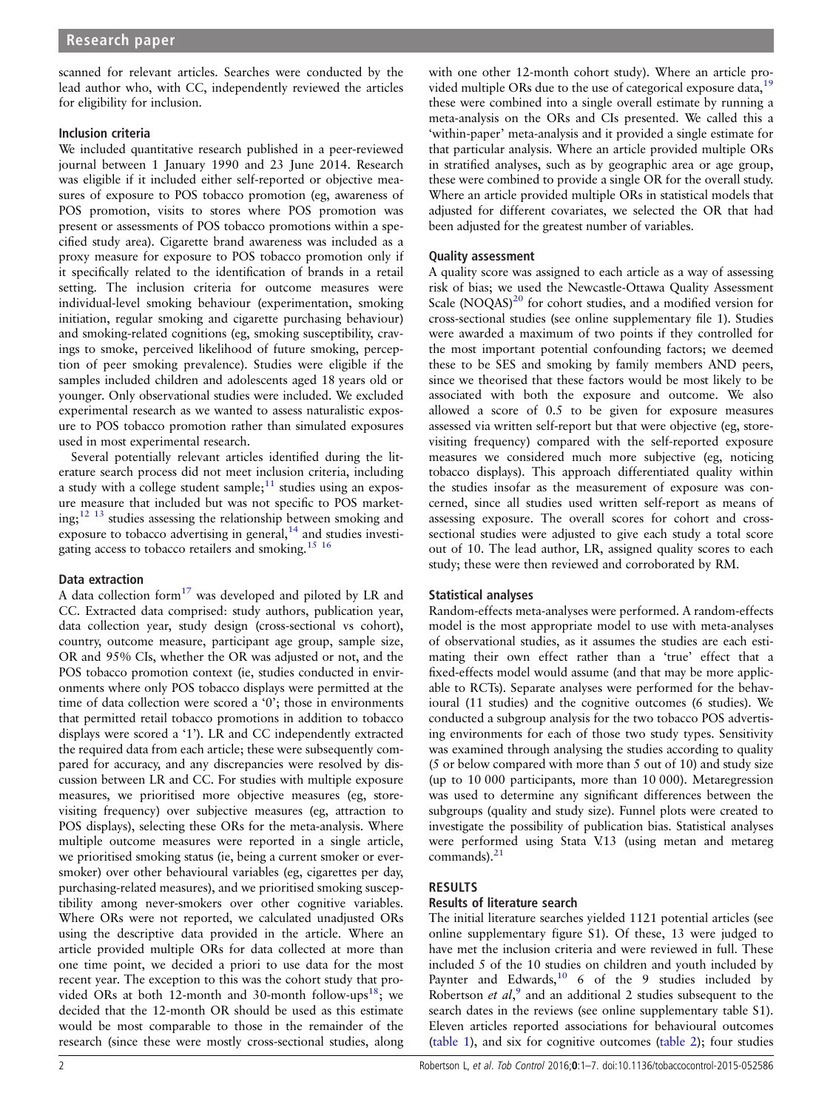scanned for relevant articles. Searches were conducted by the lead author who, with CC, independently reviewed the articles for eligibility for inclusion.

## Inclusion criteria

We included quantitative research published in a peer-reviewed journal between 1 January 1990 and 23 June 2014. Research was eligible if it included either self-reported or objective measures of exposure to POS tobacco promotion (eg, awareness of POS promotion, visits to stores where POS promotion was present or assessments of POS tobacco promotions within a specified study area). Cigarette brand awareness was included as a proxy measure for exposure to POS tobacco promotion only if it specifically related to the identification of brands in a retail setting. The inclusion criteria for outcome measures were individual-level smoking behaviour (experimentation, smoking initiation, regular smoking and cigarette purchasing behaviour) and smoking-related cognitions (eg, smoking susceptibility, cravings to smoke, perceived likelihood of future smoking, perception of peer smoking prevalence). Studies were eligible if the samples included children and adolescents aged 18 years old or younger. Only observational studies were included. We excluded experimental research as we wanted to assess naturalistic exposure to POS tobacco promotion rather than simulated exposures used in most experimental research.

Several potentially relevant articles identified during the literature search process did not meet inclusion criteria, including a study with a college student sample; $11$  studies using an exposure measure that included but was not specific to POS marketing; $^{12}$  13 studies assessing the relationship between smoking and exposure to tobacco advertising in general, $^{14}$  $^{14}$  $^{14}$  and studies investi-gating access to tobacco retailers and smoking.<sup>[15 16](#page-6-0)</sup>

## Data extraction

A data collection form<sup>[17](#page-6-0)</sup> was developed and piloted by LR and CC. Extracted data comprised: study authors, publication year, data collection year, study design (cross-sectional vs cohort), country, outcome measure, participant age group, sample size, OR and 95% CIs, whether the OR was adjusted or not, and the POS tobacco promotion context (ie, studies conducted in environments where only POS tobacco displays were permitted at the time of data collection were scored a '0'; those in environments that permitted retail tobacco promotions in addition to tobacco displays were scored a '1'). LR and CC independently extracted the required data from each article; these were subsequently compared for accuracy, and any discrepancies were resolved by discussion between LR and CC. For studies with multiple exposure measures, we prioritised more objective measures (eg, storevisiting frequency) over subjective measures (eg, attraction to POS displays), selecting these ORs for the meta-analysis. Where multiple outcome measures were reported in a single article, we prioritised smoking status (ie, being a current smoker or eversmoker) over other behavioural variables (eg, cigarettes per day, purchasing-related measures), and we prioritised smoking susceptibility among never-smokers over other cognitive variables. Where ORs were not reported, we calculated unadjusted ORs using the descriptive data provided in the article. Where an article provided multiple ORs for data collected at more than one time point, we decided a priori to use data for the most recent year. The exception to this was the cohort study that provided ORs at both 12-month and 30-month follow-ups<sup>18</sup>; we decided that the 12-month OR should be used as this estimate would be most comparable to those in the remainder of the research (since these were mostly cross-sectional studies, along

with one other 12-month cohort study). Where an article provided multiple ORs due to the use of categorical exposure data, $<sup>1</sup>$ </sup> these were combined into a single overall estimate by running a meta-analysis on the ORs and CIs presented. We called this a 'within-paper' meta-analysis and it provided a single estimate for that particular analysis. Where an article provided multiple ORs in stratified analyses, such as by geographic area or age group, these were combined to provide a single OR for the overall study. Where an article provided multiple ORs in statistical models that adjusted for different covariates, we selected the OR that had been adjusted for the greatest number of variables.

## Quality assessment

A quality score was assigned to each article as a way of assessing risk of bias; we used the Newcastle-Ottawa Quality Assessment Scale  $(NOQAS)^{20}$  $(NOQAS)^{20}$  $(NOQAS)^{20}$  for cohort studies, and a modified version for cross-sectional studies (see online supplementary file 1). Studies were awarded a maximum of two points if they controlled for the most important potential confounding factors; we deemed these to be SES and smoking by family members AND peers, since we theorised that these factors would be most likely to be associated with both the exposure and outcome. We also allowed a score of 0.5 to be given for exposure measures assessed via written self-report but that were objective (eg, storevisiting frequency) compared with the self-reported exposure measures we considered much more subjective (eg, noticing tobacco displays). This approach differentiated quality within the studies insofar as the measurement of exposure was concerned, since all studies used written self-report as means of assessing exposure. The overall scores for cohort and crosssectional studies were adjusted to give each study a total score out of 10. The lead author, LR, assigned quality scores to each study; these were then reviewed and corroborated by RM.

## Statistical analyses

Random-effects meta-analyses were performed. A random-effects model is the most appropriate model to use with meta-analyses of observational studies, as it assumes the studies are each estimating their own effect rather than a 'true' effect that a fixed-effects model would assume (and that may be more applicable to RCTs). Separate analyses were performed for the behavioural (11 studies) and the cognitive outcomes (6 studies). We conducted a subgroup analysis for the two tobacco POS advertising environments for each of those two study types. Sensitivity was examined through analysing the studies according to quality (5 or below compared with more than 5 out of 10) and study size (up to 10 000 participants, more than 10 000). Metaregression was used to determine any significant differences between the subgroups (quality and study size). Funnel plots were created to investigate the possibility of publication bias. Statistical analyses were performed using Stata V.13 (using metan and metareg commands). $21$ 

# RESULTS

## Results of literature search

The initial literature searches yielded 1121 potential articles (see online supplementary figure S1). Of these, 13 were judged to have met the inclusion criteria and were reviewed in full. These included 5 of the 10 studies on children and youth included by Paynter and Edwards,<sup>10</sup> 6 of the 9 studies included by Robertson *et al*,<sup>[9](#page-6-0)</sup> and an additional 2 studies subsequent to the search dates in the reviews (see online supplementary table S1). Eleven articles reported associations for behavioural outcomes ([table 1](#page-2-0)), and six for cognitive outcomes ([table 2\)](#page-3-0); four studies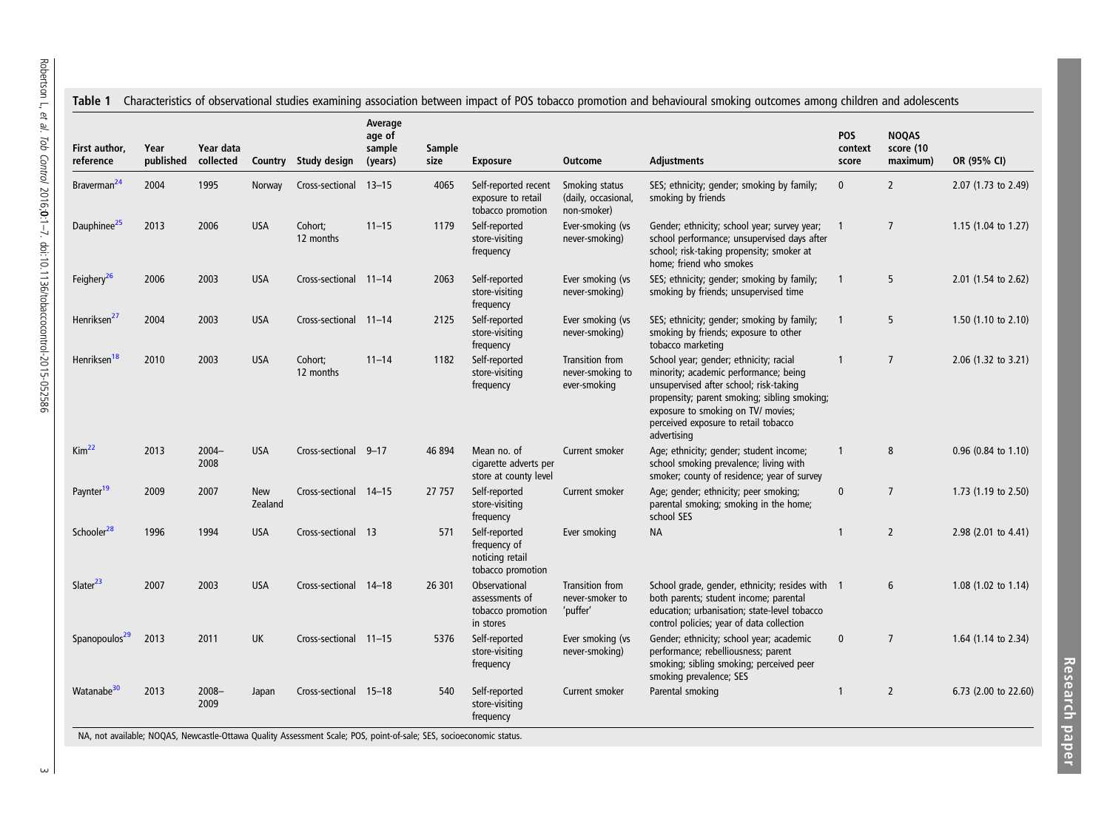<span id="page-2-0"></span>

| First author,<br>reference | Year<br>published | Year data<br>collected |                       | Country Study design  | Average<br>age of<br>sample<br>(years) | Sample<br>size | <b>Exposure</b>                                                       | Outcome                                               | Adjustments                                                                                                                                                                                                                                                            | <b>POS</b><br>context<br>score | <b>NOQAS</b><br>score (10<br>maximum) | OR (95% CI)          |
|----------------------------|-------------------|------------------------|-----------------------|-----------------------|----------------------------------------|----------------|-----------------------------------------------------------------------|-------------------------------------------------------|------------------------------------------------------------------------------------------------------------------------------------------------------------------------------------------------------------------------------------------------------------------------|--------------------------------|---------------------------------------|----------------------|
| Braverman <sup>24</sup>    | 2004              | 1995                   | Norway                | Cross-sectional 13-15 |                                        | 4065           | Self-reported recent<br>exposure to retail<br>tobacco promotion       | Smoking status<br>(daily, occasional,<br>non-smoker)  | SES; ethnicity; gender; smoking by family;<br>smoking by friends                                                                                                                                                                                                       | $\mathbf 0$                    | $\overline{2}$                        | 2.07 (1.73 to 2.49)  |
| Dauphinee <sup>25</sup>    | 2013              | 2006                   | <b>USA</b>            | Cohort:<br>12 months  | $11 - 15$                              | 1179           | Self-reported<br>store-visiting<br>frequency                          | Ever-smoking (vs<br>never-smoking)                    | Gender; ethnicity; school year; survey year;<br>school performance; unsupervised days after<br>school; risk-taking propensity; smoker at<br>home; friend who smokes                                                                                                    | $\overline{1}$                 | $\overline{7}$                        | 1.15 (1.04 to 1.27)  |
| Feighery <sup>26</sup>     | 2006              | 2003                   | <b>USA</b>            | Cross-sectional 11-14 |                                        | 2063           | Self-reported<br>store-visiting<br>frequency                          | Ever smoking (vs<br>never-smoking)                    | SES; ethnicity; gender; smoking by family;<br>smoking by friends; unsupervised time                                                                                                                                                                                    | $\overline{1}$                 | 5                                     | 2.01 (1.54 to 2.62)  |
| Henriksen <sup>27</sup>    | 2004              | 2003                   | <b>USA</b>            | Cross-sectional 11-14 |                                        | 2125           | Self-reported<br>store-visiting<br>frequency                          | Ever smoking (vs<br>never-smoking)                    | SES; ethnicity; gender; smoking by family;<br>smoking by friends; exposure to other<br>tobacco marketing                                                                                                                                                               | $\mathbf{1}$                   | 5                                     | 1.50 (1.10 to 2.10)  |
| Henriksen <sup>18</sup>    | 2010              | 2003                   | <b>USA</b>            | Cohort;<br>12 months  | $11 - 14$                              | 1182           | Self-reported<br>store-visiting<br>frequency                          | Transition from<br>never-smoking to<br>ever-smoking   | School year; gender; ethnicity; racial<br>minority; academic performance; being<br>unsupervised after school; risk-taking<br>propensity; parent smoking; sibling smoking;<br>exposure to smoking on TV/ movies;<br>perceived exposure to retail tobacco<br>advertising | $\overline{1}$                 | $\overline{7}$                        | 2.06 (1.32 to 3.21)  |
| Kim <sup>22</sup>          | 2013              | $2004 -$<br>2008       | <b>USA</b>            | Cross-sectional 9-17  |                                        | 46 894         | Mean no. of<br>cigarette adverts per<br>store at county level         | Current smoker                                        | Age; ethnicity; gender; student income;<br>school smoking prevalence; living with<br>smoker; county of residence; year of survey                                                                                                                                       | $\overline{1}$                 | 8                                     | 0.96 (0.84 to 1.10)  |
| Paynter <sup>19</sup>      | 2009              | 2007                   | <b>New</b><br>Zealand | Cross-sectional 14-15 |                                        | 27 757         | Self-reported<br>store-visiting<br>frequency                          | Current smoker                                        | Age; gender; ethnicity; peer smoking;<br>parental smoking; smoking in the home;<br>school SES                                                                                                                                                                          | $\mathbf{0}$                   | $\overline{7}$                        | 1.73 (1.19 to 2.50)  |
| Schooler <sup>28</sup>     | 1996              | 1994                   | <b>USA</b>            | Cross-sectional 13    |                                        | 571            | Self-reported<br>frequency of<br>noticing retail<br>tobacco promotion | Ever smoking                                          | <b>NA</b>                                                                                                                                                                                                                                                              | $\mathbf{1}$                   | $\overline{2}$                        | 2.98 (2.01 to 4.41)  |
| Slater <sup>23</sup>       | 2007              | 2003                   | <b>USA</b>            | Cross-sectional 14-18 |                                        | 26 301         | Observational<br>assessments of<br>tobacco promotion<br>in stores     | <b>Transition from</b><br>never-smoker to<br>'puffer' | School grade, gender, ethnicity; resides with 1<br>both parents; student income; parental<br>education; urbanisation; state-level tobacco<br>control policies; year of data collection                                                                                 |                                | 6                                     | 1.08 (1.02 to 1.14)  |
| Spanopoulos <sup>29</sup>  | 2013              | 2011                   | UK                    | Cross-sectional 11-15 |                                        | 5376           | Self-reported<br>store-visiting<br>frequency                          | Ever smoking (vs<br>never-smoking)                    | Gender; ethnicity; school year; academic<br>performance; rebelliousness; parent<br>smoking; sibling smoking; perceived peer<br>smoking prevalence; SES                                                                                                                 | $\mathbf{0}$                   | $\overline{7}$                        | 1.64 (1.14 to 2.34)  |
| Watanabe <sup>30</sup>     | 2013              | $2008 -$<br>2009       | Japan                 | Cross-sectional 15-18 |                                        | 540            | Self-reported<br>store-visiting<br>frequency                          | Current smoker                                        | Parental smoking                                                                                                                                                                                                                                                       | $\mathbf{1}$                   | $\overline{2}$                        | 6.73 (2.00 to 22.60) |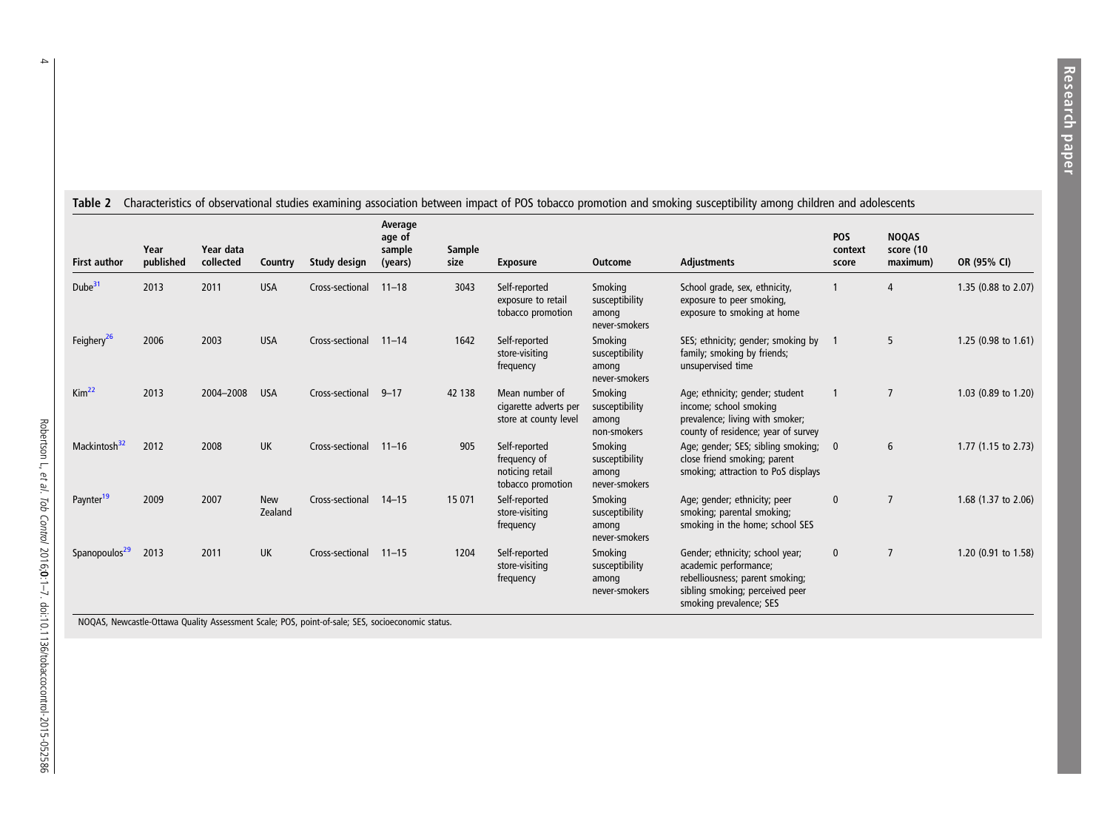| <b>First author</b>       | Year<br>published | Year data<br>collected | Country               | Study design    | Average<br>age of<br>sample<br>(years) | Sample<br>size | <b>Exposure</b>                                                       | Outcome                                             | Adjustments                                                                                                                                               | <b>POS</b><br>context<br>score | <b>NOQAS</b><br>score (10<br>maximum) | OR (95% CI)         |
|---------------------------|-------------------|------------------------|-----------------------|-----------------|----------------------------------------|----------------|-----------------------------------------------------------------------|-----------------------------------------------------|-----------------------------------------------------------------------------------------------------------------------------------------------------------|--------------------------------|---------------------------------------|---------------------|
| Dube $31$                 | 2013              | 2011                   | <b>USA</b>            | Cross-sectional | $11 - 18$                              | 3043           | Self-reported<br>exposure to retail<br>tobacco promotion              | Smoking<br>susceptibility<br>among<br>never-smokers | School grade, sex, ethnicity,<br>exposure to peer smoking,<br>exposure to smoking at home                                                                 |                                | 4                                     | 1.35 (0.88 to 2.07) |
| Feighery <sup>26</sup>    | 2006              | 2003                   | <b>USA</b>            | Cross-sectional | $11 - 14$                              | 1642           | Self-reported<br>store-visiting<br>frequency                          | Smoking<br>susceptibility<br>among<br>never-smokers | SES; ethnicity; gender; smoking by<br>family; smoking by friends;<br>unsupervised time                                                                    |                                | 5                                     | 1.25 (0.98 to 1.61) |
| Kim <sup>22</sup>         | 2013              | 2004-2008              | <b>USA</b>            | Cross-sectional | $9 - 17$                               | 42 138         | Mean number of<br>cigarette adverts per<br>store at county level      | Smoking<br>susceptibility<br>among<br>non-smokers   | Age; ethnicity; gender; student<br>income; school smoking<br>prevalence; living with smoker;<br>county of residence; year of survey                       |                                | $\overline{7}$                        | 1.03 (0.89 to 1.20) |
| Mackintosh <sup>32</sup>  | 2012              | 2008                   | UK                    | Cross-sectional | $11 - 16$                              | 905            | Self-reported<br>frequency of<br>noticing retail<br>tobacco promotion | Smoking<br>susceptibility<br>among<br>never-smokers | Age; gender; SES; sibling smoking;<br>close friend smoking; parent<br>smoking; attraction to PoS displays                                                 | $\mathbf{0}$                   | 6                                     | 1.77 (1.15 to 2.73) |
| Paynter <sup>19</sup>     | 2009              | 2007                   | <b>New</b><br>Zealand | Cross-sectional | $14 - 15$                              | 15 071         | Self-reported<br>store-visiting<br>frequency                          | Smoking<br>susceptibility<br>among<br>never-smokers | Age; gender; ethnicity; peer<br>smoking; parental smoking;<br>smoking in the home; school SES                                                             | $\bf{0}$                       | 7                                     | 1.68 (1.37 to 2.06) |
| Spanopoulos <sup>29</sup> | 2013              | 2011                   | UK                    | Cross-sectional | $11 - 15$                              | 1204           | Self-reported<br>store-visiting<br>frequency                          | Smoking<br>susceptibility<br>among<br>never-smokers | Gender; ethnicity; school year;<br>academic performance;<br>rebelliousness; parent smoking;<br>sibling smoking; perceived peer<br>smoking prevalence; SES | $\bf{0}$                       | $\overline{7}$                        | 1.20 (0.91 to 1.58) |

<span id="page-3-0"></span> $T = 11.22$ 2 Characteristics of observational studies examining association between impact of POS tobacco promotion and smoking susceptibility among children and adolescents

NOQAS, Newcastle-Ottawa Quality Assessment Scale; POS, point-of-sale; SES, socioeconomic status.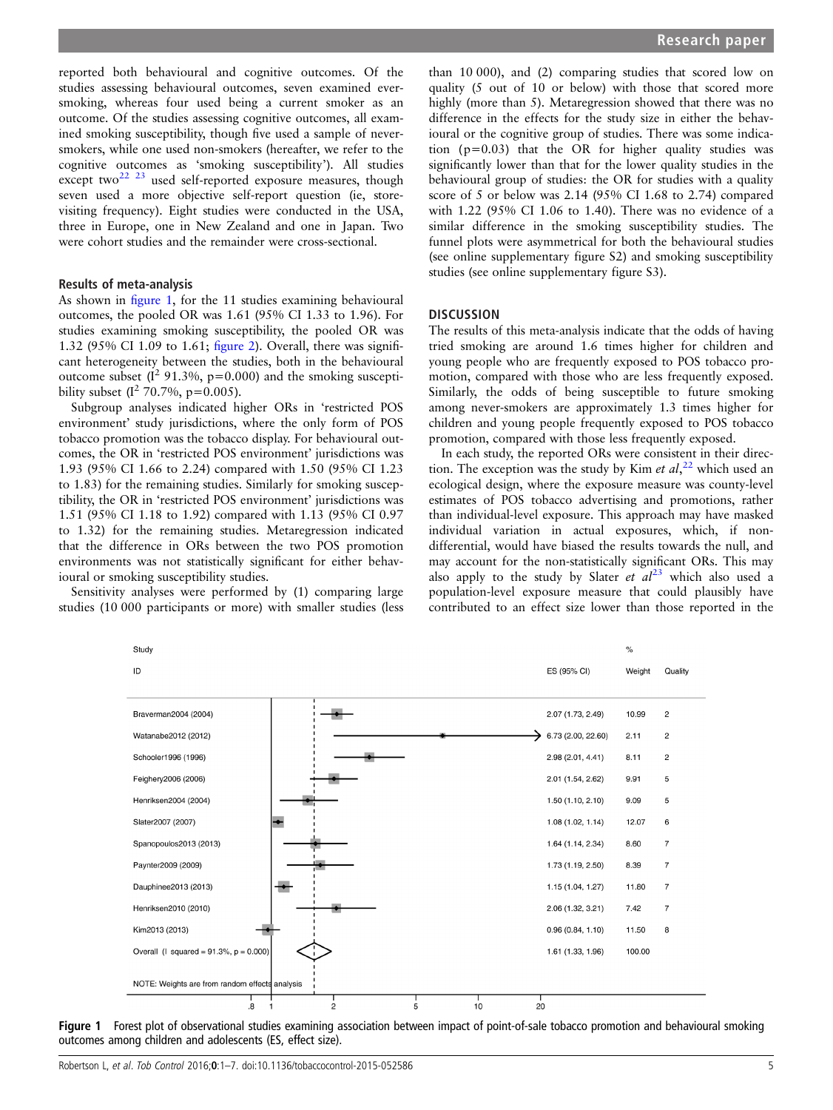reported both behavioural and cognitive outcomes. Of the studies assessing behavioural outcomes, seven examined eversmoking, whereas four used being a current smoker as an outcome. Of the studies assessing cognitive outcomes, all examined smoking susceptibility, though five used a sample of neversmokers, while one used non-smokers (hereafter, we refer to the cognitive outcomes as 'smoking susceptibility'). All studies except two<sup>[22 23](#page-6-0)</sup> used self-reported exposure measures, though seven used a more objective self-report question (ie, storevisiting frequency). Eight studies were conducted in the USA, three in Europe, one in New Zealand and one in Japan. Two were cohort studies and the remainder were cross-sectional.

## Results of meta-analysis

As shown in figure 1, for the 11 studies examining behavioural outcomes, the pooled OR was 1.61 (95% CI 1.33 to 1.96). For studies examining smoking susceptibility, the pooled OR was 1.32 (95% CI 1.09 to 1.61; fi[gure 2](#page-5-0)). Overall, there was significant heterogeneity between the studies, both in the behavioural outcome subset  $(I^2 91.3\%, p=0.000)$  and the smoking susceptibility subset  $(I^2 70.7\%, p=0.005)$ .

Subgroup analyses indicated higher ORs in 'restricted POS environment' study jurisdictions, where the only form of POS tobacco promotion was the tobacco display. For behavioural outcomes, the OR in 'restricted POS environment' jurisdictions was 1.93 (95% CI 1.66 to 2.24) compared with 1.50 (95% CI 1.23 to 1.83) for the remaining studies. Similarly for smoking susceptibility, the OR in 'restricted POS environment' jurisdictions was 1.51 (95% CI 1.18 to 1.92) compared with 1.13 (95% CI 0.97 to 1.32) for the remaining studies. Metaregression indicated that the difference in ORs between the two POS promotion environments was not statistically significant for either behavioural or smoking susceptibility studies.

Sensitivity analyses were performed by (1) comparing large studies (10 000 participants or more) with smaller studies (less

than 10 000), and (2) comparing studies that scored low on quality (5 out of 10 or below) with those that scored more highly (more than 5). Metaregression showed that there was no difference in the effects for the study size in either the behavioural or the cognitive group of studies. There was some indication (p=0.03) that the OR for higher quality studies was significantly lower than that for the lower quality studies in the behavioural group of studies: the OR for studies with a quality score of 5 or below was 2.14 (95% CI 1.68 to 2.74) compared with 1.22 (95% CI 1.06 to 1.40). There was no evidence of a similar difference in the smoking susceptibility studies. The funnel plots were asymmetrical for both the behavioural studies (see online supplementary figure S2) and smoking susceptibility studies (see online supplementary figure S3).

## **DISCUSSION**

The results of this meta-analysis indicate that the odds of having tried smoking are around 1.6 times higher for children and young people who are frequently exposed to POS tobacco promotion, compared with those who are less frequently exposed. Similarly, the odds of being susceptible to future smoking among never-smokers are approximately 1.3 times higher for children and young people frequently exposed to POS tobacco promotion, compared with those less frequently exposed.

In each study, the reported ORs were consistent in their direction. The exception was the study by Kim et  $al$ ,<sup>[22](#page-6-0)</sup> which used an ecological design, where the exposure measure was county-level estimates of POS tobacco advertising and promotions, rather than individual-level exposure. This approach may have masked individual variation in actual exposures, which, if nondifferential, would have biased the results towards the null, and may account for the non-statistically significant ORs. This may also apply to the study by Slater et  $al^{23}$  $al^{23}$  $al^{23}$  which also used a population-level exposure measure that could plausibly have contributed to an effect size lower than those reported in the



Figure 1 Forest plot of observational studies examining association between impact of point-of-sale tobacco promotion and behavioural smoking outcomes among children and adolescents (ES, effect size).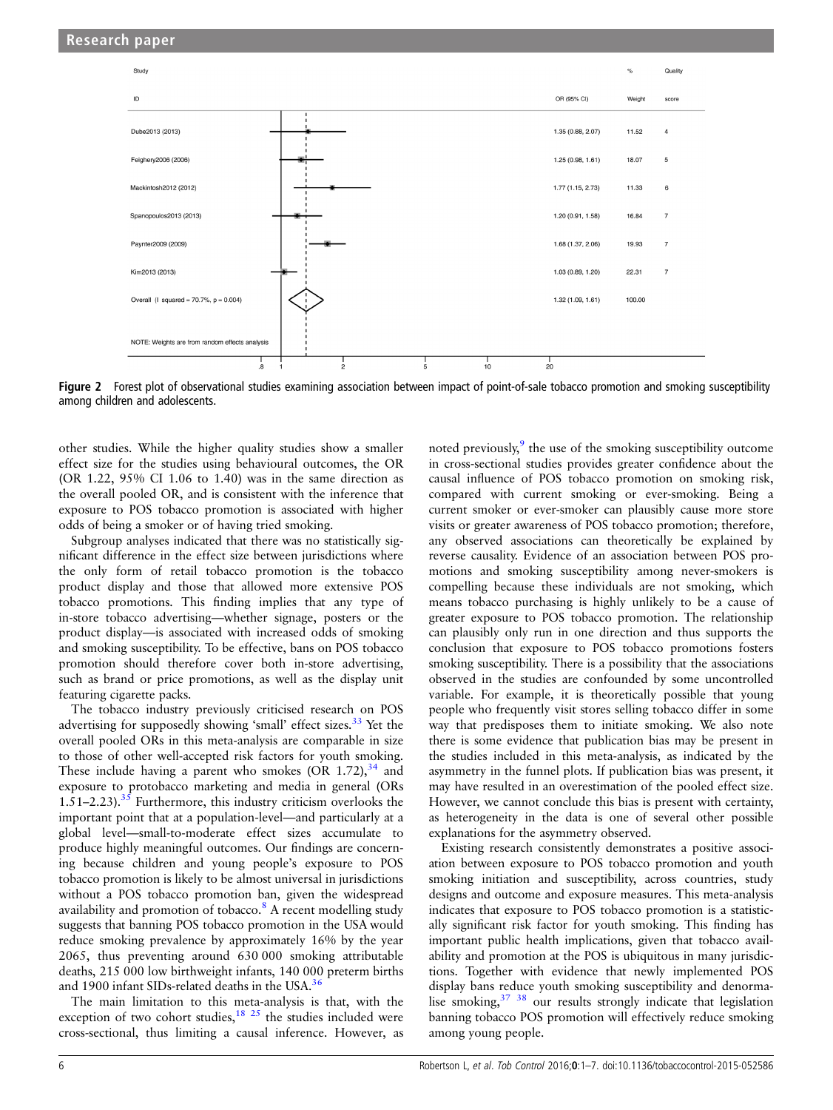<span id="page-5-0"></span>

Figure 2 Forest plot of observational studies examining association between impact of point-of-sale tobacco promotion and smoking susceptibility among children and adolescents.

other studies. While the higher quality studies show a smaller effect size for the studies using behavioural outcomes, the OR (OR 1.22, 95% CI 1.06 to 1.40) was in the same direction as the overall pooled OR, and is consistent with the inference that exposure to POS tobacco promotion is associated with higher odds of being a smoker or of having tried smoking.

Subgroup analyses indicated that there was no statistically significant difference in the effect size between jurisdictions where the only form of retail tobacco promotion is the tobacco product display and those that allowed more extensive POS tobacco promotions. This finding implies that any type of in-store tobacco advertising—whether signage, posters or the product display—is associated with increased odds of smoking and smoking susceptibility. To be effective, bans on POS tobacco promotion should therefore cover both in-store advertising, such as brand or price promotions, as well as the display unit featuring cigarette packs.

The tobacco industry previously criticised research on POS advertising for supposedly showing 'small' effect sizes.<sup>[33](#page-6-0)</sup> Yet the overall pooled ORs in this meta-analysis are comparable in size to those of other well-accepted risk factors for youth smoking. These include having a parent who smokes (OR  $1.72$ ),  $34$  and exposure to protobacco marketing and media in general (ORs 1.51–2.23). $35$  Furthermore, this industry criticism overlooks the important point that at a population-level—and particularly at a global level—small-to-moderate effect sizes accumulate to produce highly meaningful outcomes. Our findings are concerning because children and young people's exposure to POS tobacco promotion is likely to be almost universal in jurisdictions without a POS tobacco promotion ban, given the widespread availability and promotion of tobacco.<sup>[8](#page-6-0)</sup> A recent modelling study suggests that banning POS tobacco promotion in the USA would reduce smoking prevalence by approximately 16% by the year 2065, thus preventing around 630 000 smoking attributable deaths, 215 000 low birthweight infants, 140 000 preterm births and 1900 infant SIDs-related deaths in the USA. $36$ 

The main limitation to this meta-analysis is that, with the exception of two cohort studies, $18 \times 25$  the studies included were cross-sectional, thus limiting a causal inference. However, as

noted previously,<sup>[9](#page-6-0)</sup> the use of the smoking susceptibility outcome in cross-sectional studies provides greater confidence about the causal influence of POS tobacco promotion on smoking risk, compared with current smoking or ever-smoking. Being a current smoker or ever-smoker can plausibly cause more store visits or greater awareness of POS tobacco promotion; therefore, any observed associations can theoretically be explained by reverse causality. Evidence of an association between POS promotions and smoking susceptibility among never-smokers is compelling because these individuals are not smoking, which means tobacco purchasing is highly unlikely to be a cause of greater exposure to POS tobacco promotion. The relationship can plausibly only run in one direction and thus supports the conclusion that exposure to POS tobacco promotions fosters smoking susceptibility. There is a possibility that the associations observed in the studies are confounded by some uncontrolled variable. For example, it is theoretically possible that young people who frequently visit stores selling tobacco differ in some way that predisposes them to initiate smoking. We also note there is some evidence that publication bias may be present in the studies included in this meta-analysis, as indicated by the asymmetry in the funnel plots. If publication bias was present, it may have resulted in an overestimation of the pooled effect size. However, we cannot conclude this bias is present with certainty, as heterogeneity in the data is one of several other possible explanations for the asymmetry observed.

Existing research consistently demonstrates a positive association between exposure to POS tobacco promotion and youth smoking initiation and susceptibility, across countries, study designs and outcome and exposure measures. This meta-analysis indicates that exposure to POS tobacco promotion is a statistically significant risk factor for youth smoking. This finding has important public health implications, given that tobacco availability and promotion at the POS is ubiquitous in many jurisdictions. Together with evidence that newly implemented POS display bans reduce youth smoking susceptibility and denormalise smoking,[37 38](#page-6-0) our results strongly indicate that legislation banning tobacco POS promotion will effectively reduce smoking among young people.